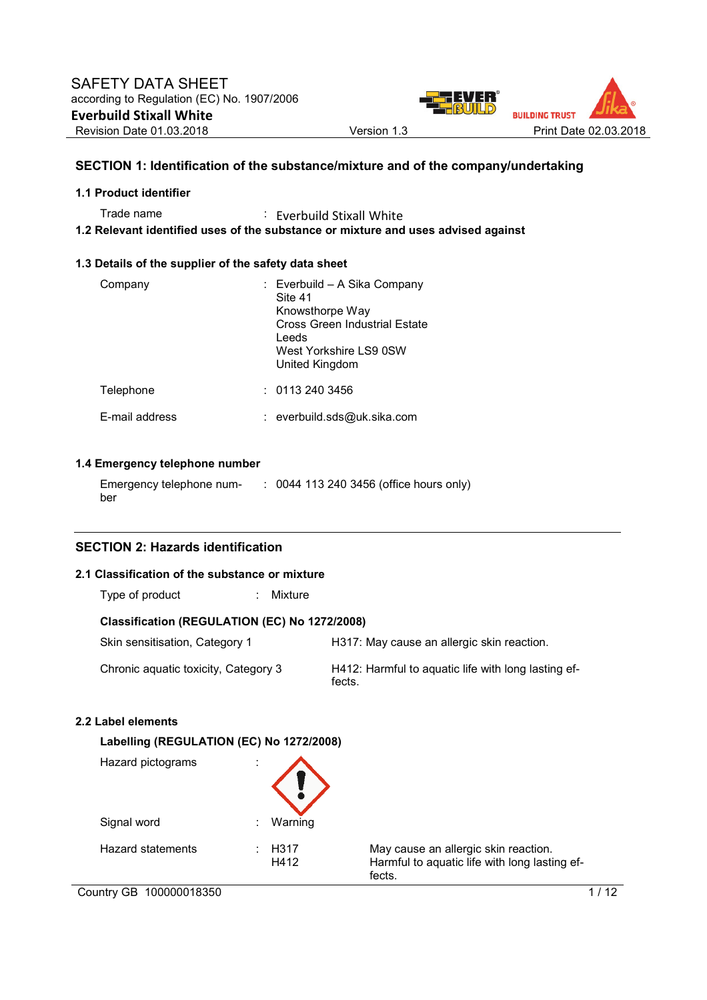

# **SECTION 1: Identification of the substance/mixture and of the company/undertaking**

## **1.1 Product identifier**

Trade name : Everbuild Stixall White

**1.2 Relevant identified uses of the substance or mixture and uses advised against** 

## **1.3 Details of the supplier of the safety data sheet**

| Company        | : Everbuild – A Sika Company<br>Site 41<br>Knowsthorpe Way<br>Cross Green Industrial Estate<br>Leeds<br>West Yorkshire LS9 0SW<br>United Kingdom |
|----------------|--------------------------------------------------------------------------------------------------------------------------------------------------|
| Telephone      | : 01132403456                                                                                                                                    |
| F-mail address | : everbuild.sds@uk.sika.com                                                                                                                      |

# **1.4 Emergency telephone number**

| Emergency telephone num- | : 0044 113 240 3456 (office hours only) |
|--------------------------|-----------------------------------------|
| ber                      |                                         |

# **SECTION 2: Hazards identification**

# **2.1 Classification of the substance or mixture**

| Type of product |  | Mixture |
|-----------------|--|---------|
|-----------------|--|---------|

# **Classification (REGULATION (EC) No 1272/2008)**

| Skin sensitisation, Category 1       | H317: May cause an allergic skin reaction.                    |
|--------------------------------------|---------------------------------------------------------------|
| Chronic aquatic toxicity, Category 3 | H412: Harmful to aquatic life with long lasting ef-<br>fects. |

# **2.2 Label elements**

| Hazard pictograms | ٠<br>٠.                   |                                                                                                 |
|-------------------|---------------------------|-------------------------------------------------------------------------------------------------|
| Signal word       | Warning<br>÷              |                                                                                                 |
| Hazard statements | H <sub>3</sub> 17<br>H412 | May cause an allergic skin reaction.<br>Harmful to aquatic life with long lasting ef-<br>fects. |

Country GB 100000018350 1/12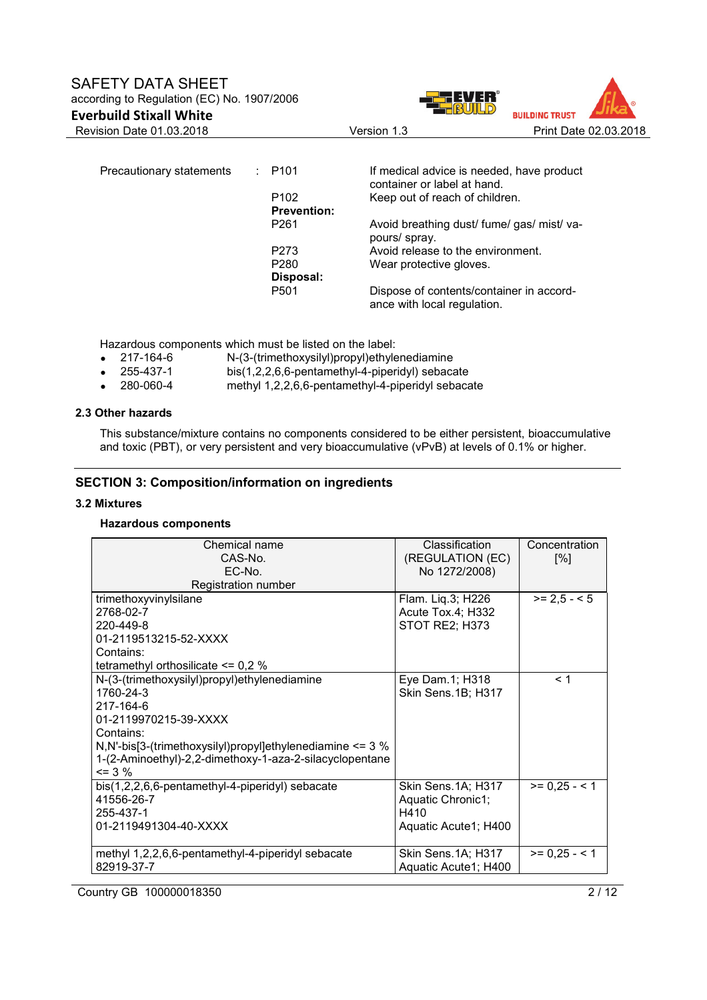

Precautionary statements : P101 If medical advice is needed, have product container or label at hand. P102 Keep out of reach of children. **Prevention:**  P261 Avoid breathing dust/ fume/ gas/ mist/ vapours/ spray. P273 Avoid release to the environment.<br>
P280 Wear protective gloves. Wear protective gloves. **Disposal:**  P501 Dispose of contents/container in accordance with local regulation.

Hazardous components which must be listed on the label:

- 217-164-6 N-(3-(trimethoxysilyl)propyl)ethylenediamine
- 255-437-1 bis(1,2,2,6,6-pentamethyl-4-piperidyl) sebacate
- 280-060-4 methyl 1,2,2,6,6-pentamethyl-4-piperidyl sebacate

## **2.3 Other hazards**

This substance/mixture contains no components considered to be either persistent, bioaccumulative and toxic (PBT), or very persistent and very bioaccumulative (vPvB) at levels of 0.1% or higher.

## **SECTION 3: Composition/information on ingredients**

#### **3.2 Mixtures**

## **Hazardous components**

| Chemical name<br>CAS-No.                                        | Classification<br>(REGULATION (EC) | Concentration<br>[%] |
|-----------------------------------------------------------------|------------------------------------|----------------------|
| EC-No.<br>Registration number                                   | No 1272/2008)                      |                      |
| trimethoxyvinylsilane                                           | Flam. Liq.3; H226                  | $>= 2.5 - 5$         |
| 2768-02-7                                                       | Acute Tox.4; H332                  |                      |
| 220-449-8                                                       | STOT RE2; H373                     |                      |
| 01-2119513215-52-XXXX                                           |                                    |                      |
| Contains:                                                       |                                    |                      |
| tetramethyl orthosilicate $\leq$ 0,2 %                          |                                    |                      |
| N-(3-(trimethoxysilyl)propyl)ethylenediamine                    | Eye Dam.1; H318                    | < 1                  |
| 1760-24-3                                                       | Skin Sens.1B; H317                 |                      |
| 217-164-6                                                       |                                    |                      |
| 01-2119970215-39-XXXX                                           |                                    |                      |
| Contains:                                                       |                                    |                      |
| N, N'-bis[3-(trimethoxysilyl) propyl]ethylenediamine $\leq$ 3 % |                                    |                      |
| 1-(2-Aminoethyl)-2,2-dimethoxy-1-aza-2-silacyclopentane         |                                    |                      |
| $\leq$ 3 %                                                      |                                    |                      |
| bis(1,2,2,6,6-pentamethyl-4-piperidyl) sebacate                 | Skin Sens.1A; H317                 | $>= 0.25 - 1$        |
| 41556-26-7                                                      | Aquatic Chronic1;                  |                      |
| 255-437-1                                                       | H410                               |                      |
| 01-2119491304-40-XXXX                                           | Aquatic Acute1; H400               |                      |
| methyl 1,2,2,6,6-pentamethyl-4-piperidyl sebacate               | Skin Sens. 1A; H317                | $>= 0,25 - 1$        |
| 82919-37-7                                                      | Aquatic Acute1; H400               |                      |

Country GB 100000018350 2 / 12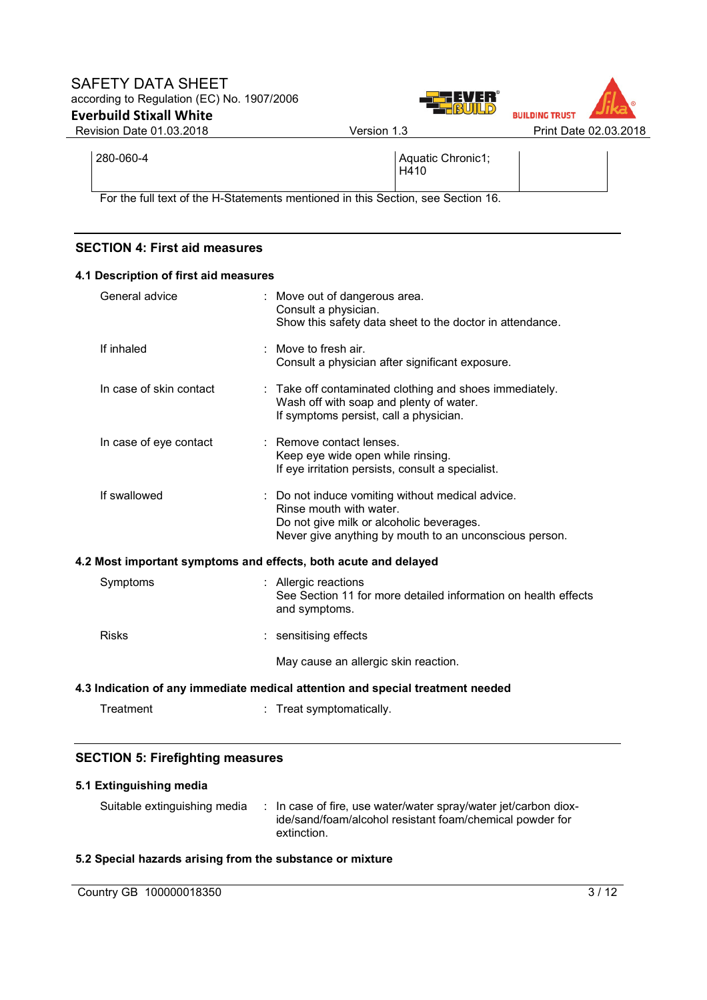



280-060-4 Aquatic Chronic1; H410

For the full text of the H-Statements mentioned in this Section, see Section 16.

# **SECTION 4: First aid measures**

| 4.1 Description of first aid measures                           |                                                                                                                                                                                   |
|-----------------------------------------------------------------|-----------------------------------------------------------------------------------------------------------------------------------------------------------------------------------|
| General advice                                                  | : Move out of dangerous area.<br>Consult a physician.<br>Show this safety data sheet to the doctor in attendance.                                                                 |
| If inhaled                                                      | : Move to fresh air.<br>Consult a physician after significant exposure.                                                                                                           |
| In case of skin contact                                         | : Take off contaminated clothing and shoes immediately.<br>Wash off with soap and plenty of water.<br>If symptoms persist, call a physician.                                      |
| In case of eye contact                                          | : Remove contact lenses.<br>Keep eye wide open while rinsing.<br>If eye irritation persists, consult a specialist.                                                                |
| If swallowed                                                    | : Do not induce vomiting without medical advice.<br>Rinse mouth with water.<br>Do not give milk or alcoholic beverages.<br>Never give anything by mouth to an unconscious person. |
| 4.2 Most important symptoms and effects, both acute and delayed |                                                                                                                                                                                   |
| Symptoms                                                        | Allergic reactions<br>See Section 11 for more detailed information on health effects<br>and symptoms.                                                                             |
| <b>Risks</b>                                                    | : sensitising effects                                                                                                                                                             |
|                                                                 | May cause an allergic skin reaction.                                                                                                                                              |
|                                                                 | 4.3 Indication of any immediate medical attention and special treatment needed                                                                                                    |
| Treatment                                                       | : Treat symptomatically.                                                                                                                                                          |

# **SECTION 5: Firefighting measures**

# **5.1 Extinguishing media**

Suitable extinguishing media : In case of fire, use water/water spray/water jet/carbon dioxide/sand/foam/alcohol resistant foam/chemical powder for extinction.

# **5.2 Special hazards arising from the substance or mixture**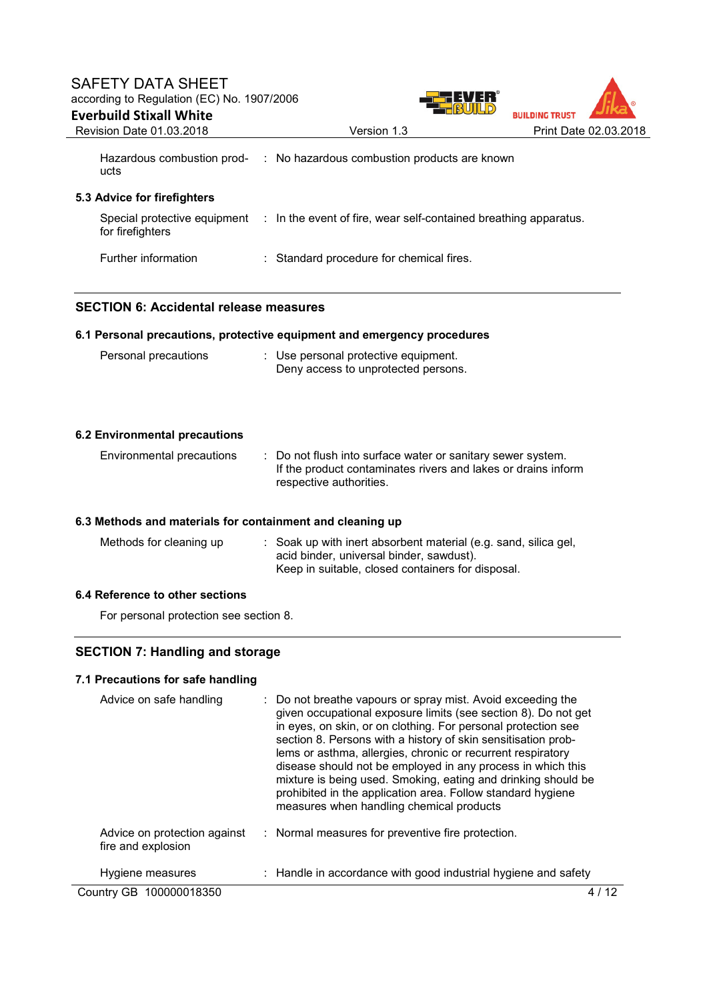



| Hazardous combustion prod- | : No hazardous combustion products are known |
|----------------------------|----------------------------------------------|
| ucts                       |                                              |

# **5.3 Advice for firefighters**

| Special protective equipment<br>for firefighters | : In the event of fire, wear self-contained breathing apparatus. |
|--------------------------------------------------|------------------------------------------------------------------|
| Further information                              | : Standard procedure for chemical fires.                         |

# **SECTION 6: Accidental release measures**

## **6.1 Personal precautions, protective equipment and emergency procedures**

| Personal precautions | : Use personal protective equipment. |  |
|----------------------|--------------------------------------|--|
|                      | Deny access to unprotected persons.  |  |

| <b>6.2 Environmental precautions</b>                      |                                                                                                                                                                  |
|-----------------------------------------------------------|------------------------------------------------------------------------------------------------------------------------------------------------------------------|
| Environmental precautions                                 | : Do not flush into surface water or sanitary sewer system.<br>If the product contaminates rivers and lakes or drains inform<br>respective authorities.          |
| 6.3 Methods and materials for containment and cleaning up |                                                                                                                                                                  |
| Methods for cleaning up                                   | : Soak up with inert absorbent material (e.g. sand, silica gel,<br>acid binder, universal binder, sawdust).<br>Keep in suitable, closed containers for disposal. |

# **6.4 Reference to other sections**

For personal protection see section 8.

# **SECTION 7: Handling and storage**

## **7.1 Precautions for safe handling**

| Advice on safe handling                            | : Do not breathe vapours or spray mist. Avoid exceeding the<br>given occupational exposure limits (see section 8). Do not get<br>in eyes, on skin, or on clothing. For personal protection see<br>section 8. Persons with a history of skin sensitisation prob-<br>lems or asthma, allergies, chronic or recurrent respiratory<br>disease should not be employed in any process in which this<br>mixture is being used. Smoking, eating and drinking should be<br>prohibited in the application area. Follow standard hygiene<br>measures when handling chemical products |    |
|----------------------------------------------------|---------------------------------------------------------------------------------------------------------------------------------------------------------------------------------------------------------------------------------------------------------------------------------------------------------------------------------------------------------------------------------------------------------------------------------------------------------------------------------------------------------------------------------------------------------------------------|----|
| Advice on protection against<br>fire and explosion | : Normal measures for preventive fire protection.                                                                                                                                                                                                                                                                                                                                                                                                                                                                                                                         |    |
| Hygiene measures                                   | : Handle in accordance with good industrial hygiene and safety                                                                                                                                                                                                                                                                                                                                                                                                                                                                                                            |    |
| Country GB 100000018350                            |                                                                                                                                                                                                                                                                                                                                                                                                                                                                                                                                                                           | 12 |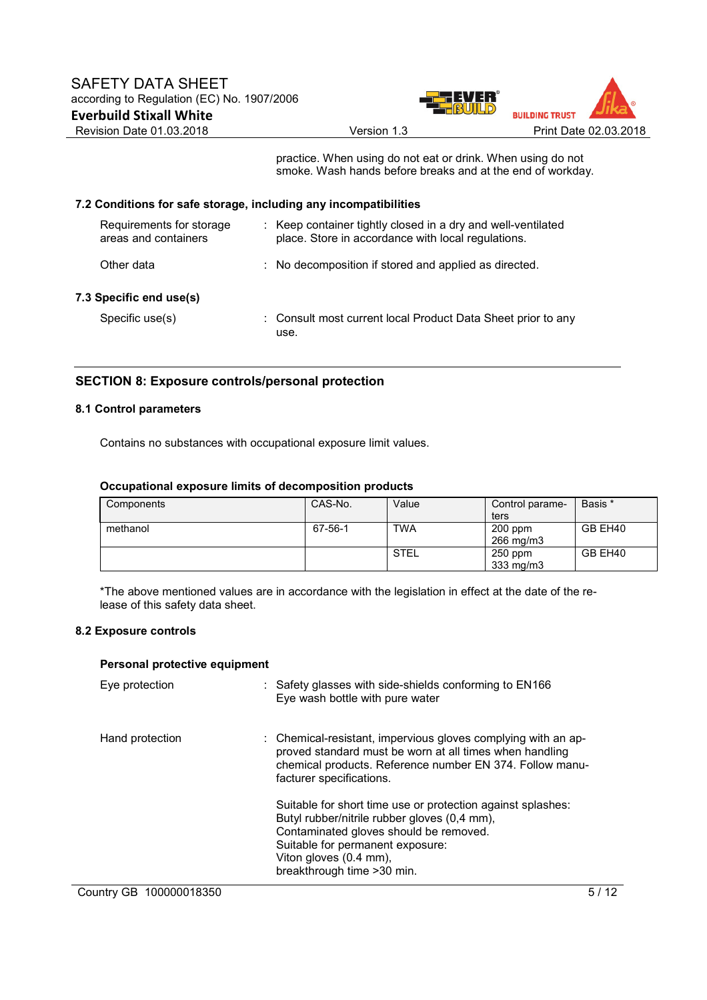

practice. When using do not eat or drink. When using do not smoke. Wash hands before breaks and at the end of workday.

# **7.2 Conditions for safe storage, including any incompatibilities**

| Requirements for storage<br>areas and containers | : Keep container tightly closed in a dry and well-ventilated<br>place. Store in accordance with local regulations. |
|--------------------------------------------------|--------------------------------------------------------------------------------------------------------------------|
| Other data                                       | : No decomposition if stored and applied as directed.                                                              |
| 7.3 Specific end use(s)                          |                                                                                                                    |
| Specific use(s)                                  | : Consult most current local Product Data Sheet prior to any<br>use.                                               |

# **SECTION 8: Exposure controls/personal protection**

# **8.1 Control parameters**

Contains no substances with occupational exposure limit values.

#### **Occupational exposure limits of decomposition products**

| Components | CAS-No. | Value       | Control parame-<br>ters | Basis * |
|------------|---------|-------------|-------------------------|---------|
| methanol   | 67-56-1 | <b>TWA</b>  | $200$ ppm<br>266 mg/m3  | GB EH40 |
|            |         | <b>STEL</b> | $250$ ppm<br>333 mg/m3  | GB EH40 |

\*The above mentioned values are in accordance with the legislation in effect at the date of the release of this safety data sheet.

# **8.2 Exposure controls**

#### **Personal protective equipment**

| Eye protection          | : Safety glasses with side-shields conforming to EN166<br>Eye wash bottle with pure water                                                                                                                                                          |
|-------------------------|----------------------------------------------------------------------------------------------------------------------------------------------------------------------------------------------------------------------------------------------------|
| Hand protection         | : Chemical-resistant, impervious gloves complying with an ap-<br>proved standard must be worn at all times when handling<br>chemical products. Reference number EN 374. Follow manu-<br>facturer specifications.                                   |
|                         | Suitable for short time use or protection against splashes:<br>Butyl rubber/nitrile rubber gloves (0,4 mm),<br>Contaminated gloves should be removed.<br>Suitable for permanent exposure:<br>Viton gloves (0.4 mm),<br>breakthrough time > 30 min. |
| Country GB 100000018350 | 51                                                                                                                                                                                                                                                 |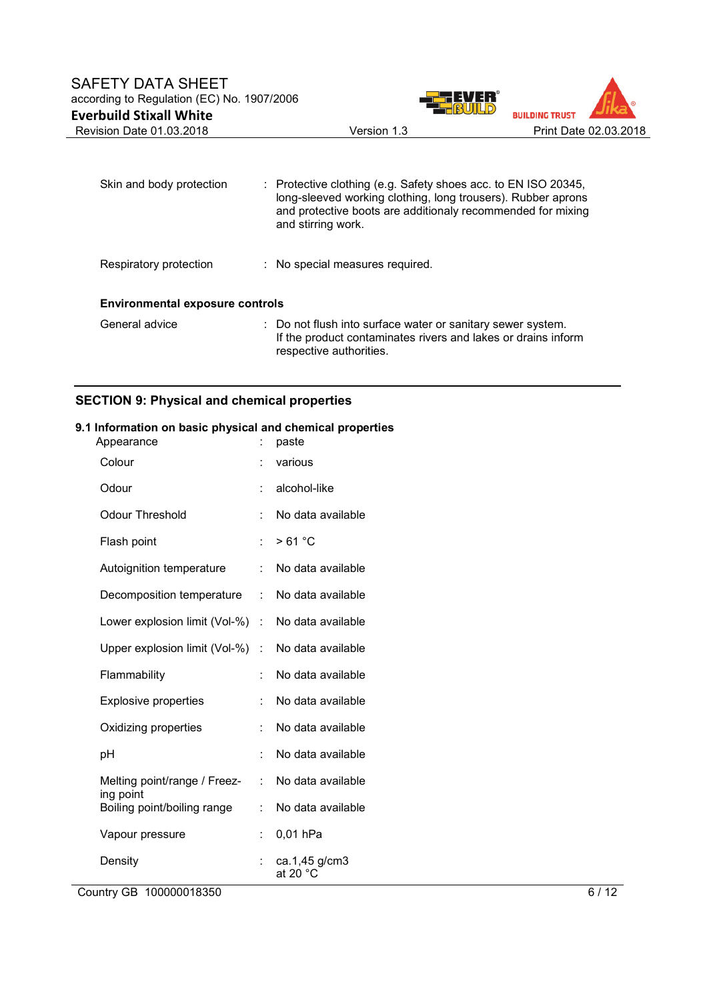

| Skin and body protection               |  | : Protective clothing (e.g. Safety shoes acc. to EN ISO 20345,<br>long-sleeved working clothing, long trousers). Rubber aprons<br>and protective boots are additionaly recommended for mixing<br>and stirring work. |  |  |
|----------------------------------------|--|---------------------------------------------------------------------------------------------------------------------------------------------------------------------------------------------------------------------|--|--|
| Respiratory protection                 |  | : No special measures required.                                                                                                                                                                                     |  |  |
| <b>Environmental exposure controls</b> |  |                                                                                                                                                                                                                     |  |  |
| General advice                         |  | : Do not flush into surface water or sanitary sewer system.<br>If the product contaminates rivers and lakes or drains inform<br>respective authorities.                                                             |  |  |

# **SECTION 9: Physical and chemical properties**

# **9.1 Information on basic physical and chemical properties**

| Appearance                               |                      | paste                               |
|------------------------------------------|----------------------|-------------------------------------|
| Colour                                   |                      | various                             |
| Odour                                    | t                    | alcohol-like                        |
| <b>Odour Threshold</b>                   | t                    | No data available                   |
| Flash point                              | t                    | >61 °C                              |
| Autoignition temperature                 |                      | No data available                   |
| Decomposition temperature                | ÷                    | No data available                   |
| Lower explosion limit (Vol-%)            | $\ddot{\phantom{a}}$ | No data available                   |
| Upper explosion limit (Vol-%)            | t                    | No data available                   |
| Flammability                             | t                    | No data available                   |
| <b>Explosive properties</b>              | t                    | No data available                   |
| Oxidizing properties                     | t                    | No data available                   |
| рH                                       | t                    | No data available                   |
| Melting point/range / Freez-             | t.                   | No data available                   |
| ing point<br>Boiling point/boiling range | t                    | No data available                   |
| Vapour pressure                          | t                    | 0,01 hPa                            |
| Density                                  |                      | ca.1,45 g/cm3<br>at 20 $^{\circ}$ C |

Country GB 100000018350 6/12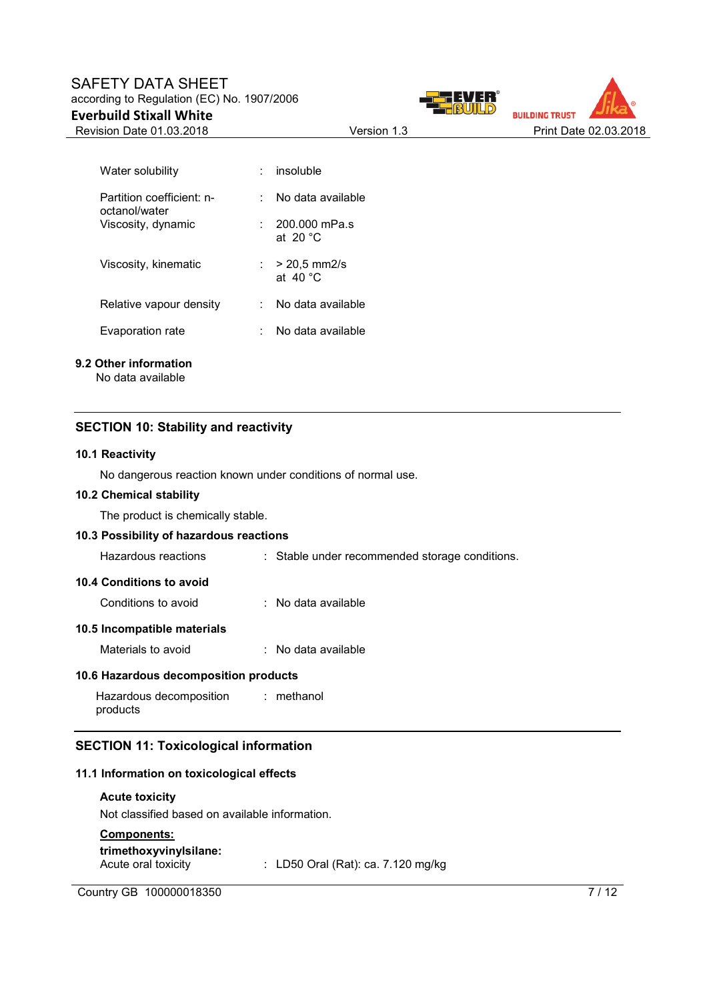# SAFETY DATA SHEET according to Regulation (EC) No. 1907/2006 **Everbuild Stixall White**





| Water solubility                           | insoluble                              |
|--------------------------------------------|----------------------------------------|
| Partition coefficient: n-<br>octanol/water | No data available                      |
| Viscosity, dynamic                         | 200.000 mPa.s<br>at 20 $\degree$ C     |
| Viscosity, kinematic                       | : $> 20.5$ mm2/s<br>at 40 $^{\circ}$ C |
| Relative vapour density                    | No data available                      |
| Evaporation rate                           | No data available                      |

# **9.2 Other information**

No data available

# **SECTION 10: Stability and reactivity**

# **10.1 Reactivity**

No dangerous reaction known under conditions of normal use.

# **10.2 Chemical stability**

The product is chemically stable.

| 10.3 Possibility of hazardous reactions        |  |                                                |  |
|------------------------------------------------|--|------------------------------------------------|--|
| Hazardous reactions                            |  | : Stable under recommended storage conditions. |  |
| 10.4 Conditions to avoid                       |  |                                                |  |
| Conditions to avoid                            |  | : No data available                            |  |
| 10.5 Incompatible materials                    |  |                                                |  |
| Materials to avoid                             |  | : No data available                            |  |
| 10.6 Hazardous decomposition products          |  |                                                |  |
| Hazardous decomposition : methanol<br>products |  |                                                |  |
| <b>SECTION 11: Toxicological information</b>   |  |                                                |  |
| 11.1 Information on toxicological effects      |  |                                                |  |

## **Acute toxicity**

Not classified based on available information.

# **Components:**

| trimethoxyvinylsilane: |
|------------------------|
| Acute oral toxicity    |

 $\therefore$  LD50 Oral (Rat): ca. 7.120 mg/kg

Country GB 100000018350 7/12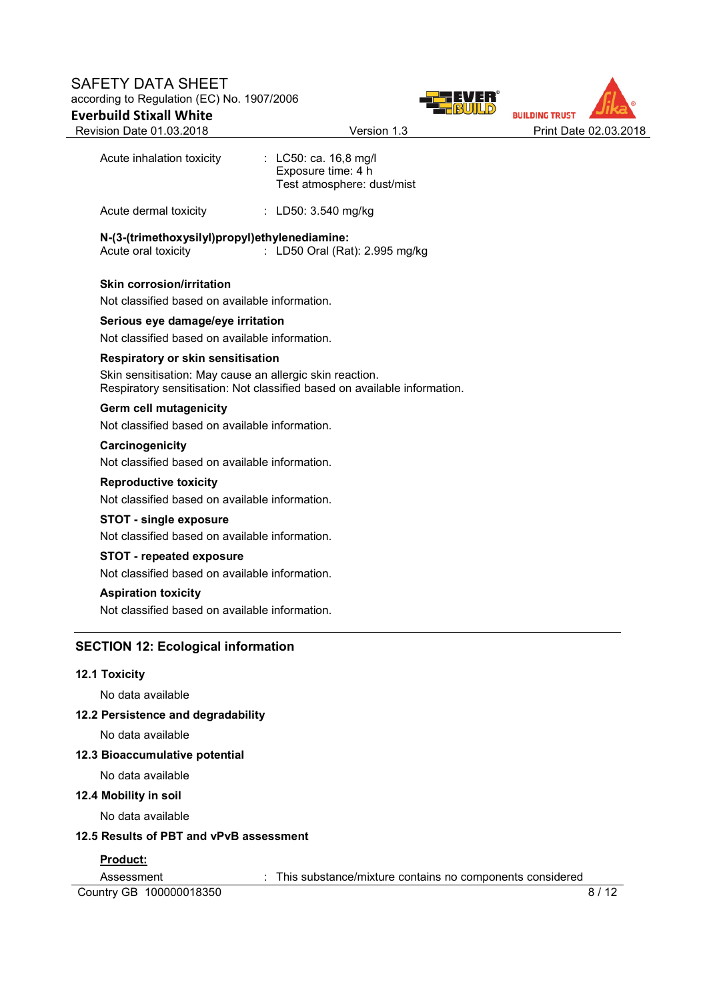



| Notional Bato of too. Editor                                                                         | "                                                                         |  |
|------------------------------------------------------------------------------------------------------|---------------------------------------------------------------------------|--|
| Acute inhalation toxicity : LC50: ca. 16,8 mg/l                                                      | Exposure time: 4 h<br>Test atmosphere: dust/mist                          |  |
| Acute dermal toxicity                                                                                | : LD50: 3.540 mg/kg                                                       |  |
| N-(3-(trimethoxysilyl)propyl)ethylenediamine:<br>Acute oral toxicity                                 | : LD50 Oral (Rat): 2.995 mg/kg                                            |  |
| <b>Skin corrosion/irritation</b>                                                                     |                                                                           |  |
| Not classified based on available information.                                                       |                                                                           |  |
| Serious eye damage/eye irritation                                                                    |                                                                           |  |
| Not classified based on available information.                                                       |                                                                           |  |
| <b>Respiratory or skin sensitisation</b><br>Skin sensitisation: May cause an allergic skin reaction. | Respiratory sensitisation: Not classified based on available information. |  |
| Germ cell mutagenicity<br>Not classified based on available information.                             |                                                                           |  |
| Carcinogenicity<br>Not classified based on available information.                                    |                                                                           |  |
| <b>Reproductive toxicity</b><br>Not classified based on available information.                       |                                                                           |  |
| <b>STOT - single exposure</b>                                                                        |                                                                           |  |
| Not classified based on available information.                                                       |                                                                           |  |
| <b>STOT - repeated exposure</b>                                                                      |                                                                           |  |
| Not classified based on available information.                                                       |                                                                           |  |
| <b>Aspiration toxicity</b><br>Not classified based on available information.                         |                                                                           |  |
|                                                                                                      |                                                                           |  |
| <b>SECTION 12: Ecological information</b>                                                            |                                                                           |  |
| <b>12.1 Toxicity</b>                                                                                 |                                                                           |  |
| No data available                                                                                    |                                                                           |  |
| 12.2 Persistence and degradability                                                                   |                                                                           |  |
| No data available                                                                                    |                                                                           |  |
| 12.3 Bioaccumulative potential                                                                       |                                                                           |  |
| No data available                                                                                    |                                                                           |  |
| 12.4 Mobility in soil                                                                                |                                                                           |  |
| No data available                                                                                    |                                                                           |  |
| 12.5 Results of PBT and vPvB assessment                                                              |                                                                           |  |
| Product:                                                                                             |                                                                           |  |
| Assessment                                                                                           | : This substance/mixture contains no components considered                |  |

Country GB 100000018350 8/12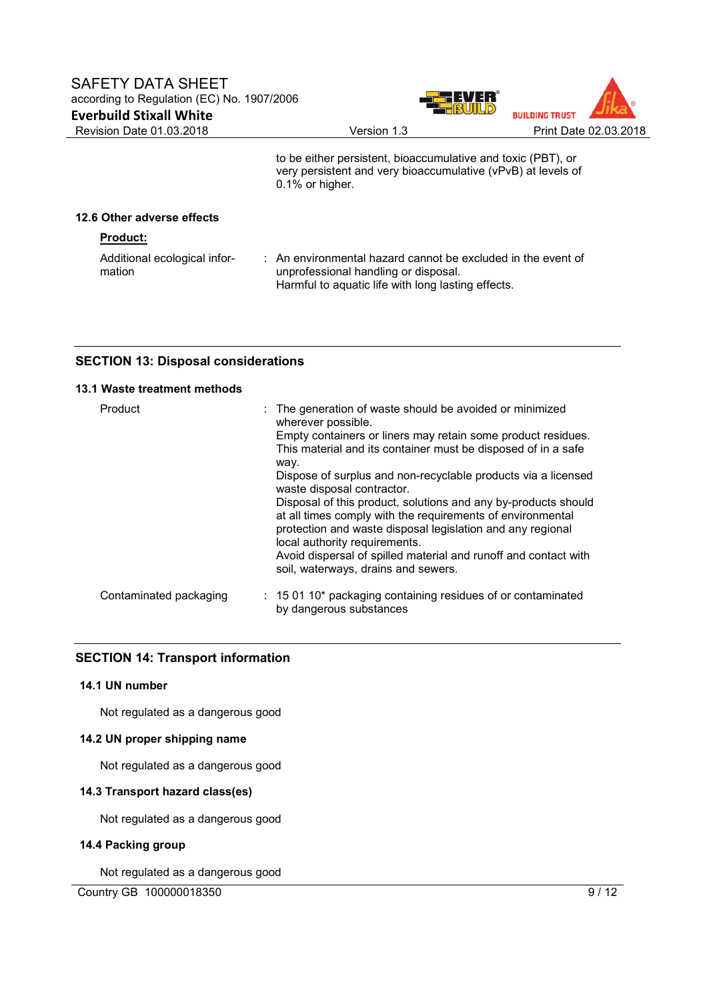



 to be either persistent, bioaccumulative and toxic (PBT), or very persistent and very bioaccumulative (vPvB) at levels of 0.1% or higher.

## **12.6 Other adverse effects**

| <b>Product:</b>                        |                                                                                                                                                            |
|----------------------------------------|------------------------------------------------------------------------------------------------------------------------------------------------------------|
| Additional ecological infor-<br>mation | : An environmental hazard cannot be excluded in the event of<br>unprofessional handling or disposal.<br>Harmful to aquatic life with long lasting effects. |

# **SECTION 13: Disposal considerations**

# **13.1 Waste treatment methods**

| Product                | : The generation of waste should be avoided or minimized<br>wherever possible.<br>Empty containers or liners may retain some product residues.<br>This material and its container must be disposed of in a safe<br>way.<br>Dispose of surplus and non-recyclable products via a licensed<br>waste disposal contractor.<br>Disposal of this product, solutions and any by-products should |
|------------------------|------------------------------------------------------------------------------------------------------------------------------------------------------------------------------------------------------------------------------------------------------------------------------------------------------------------------------------------------------------------------------------------|
|                        | at all times comply with the requirements of environmental<br>protection and waste disposal legislation and any regional<br>local authority requirements.<br>Avoid dispersal of spilled material and runoff and contact with<br>soil, waterways, drains and sewers.                                                                                                                      |
| Contaminated packaging | $\therefore$ 15 01 10* packaging containing residues of or contaminated<br>by dangerous substances                                                                                                                                                                                                                                                                                       |

# **SECTION 14: Transport information**

### **14.1 UN number**

Not regulated as a dangerous good

# **14.2 UN proper shipping name**

Not regulated as a dangerous good

# **14.3 Transport hazard class(es)**

Not regulated as a dangerous good

#### **14.4 Packing group**

Not regulated as a dangerous good

Country GB 100000018350 9/12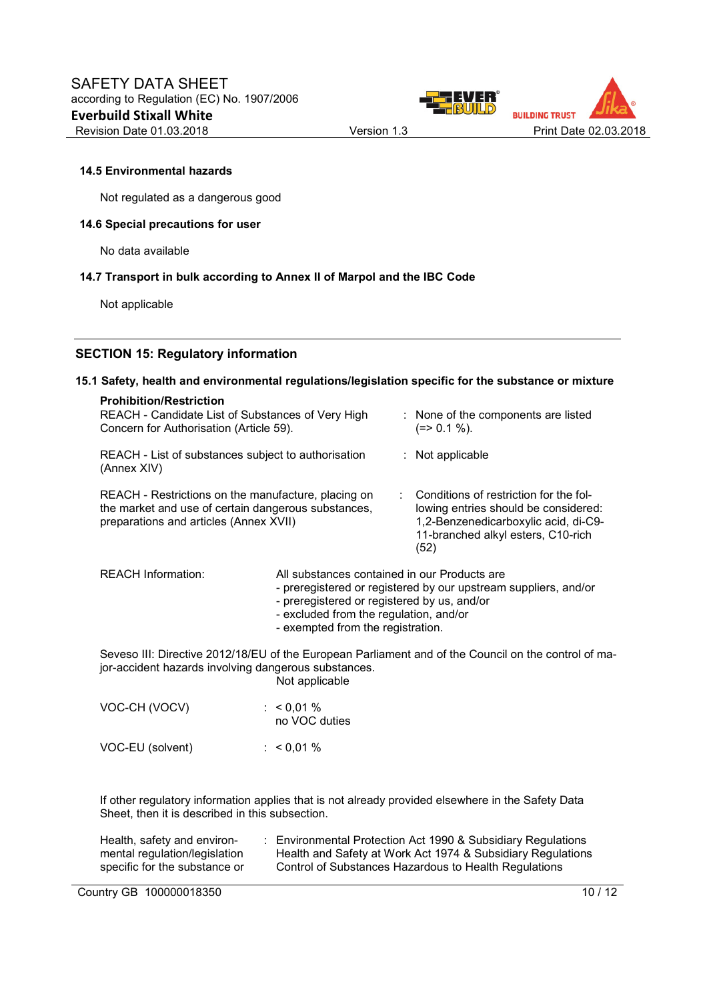



## **14.5 Environmental hazards**

Not regulated as a dangerous good

#### **14.6 Special precautions for user**

No data available

#### **14.7 Transport in bulk according to Annex II of Marpol and the IBC Code**

Not applicable

## **SECTION 15: Regulatory information**

#### **15.1 Safety, health and environmental regulations/legislation specific for the substance or mixture**

| <b>Prohibition/Restriction</b><br>REACH - Candidate List of Substances of Very High<br>Concern for Authorisation (Article 59).                       | : None of the components are listed<br>$(=>0.1\%).$                                                                                                                  |
|------------------------------------------------------------------------------------------------------------------------------------------------------|----------------------------------------------------------------------------------------------------------------------------------------------------------------------|
| REACH - List of substances subject to authorisation<br>(Annex XIV)                                                                                   | $:$ Not applicable                                                                                                                                                   |
| REACH - Restrictions on the manufacture, placing on<br>the market and use of certain dangerous substances,<br>preparations and articles (Annex XVII) | Conditions of restriction for the fol-<br>lowing entries should be considered:<br>1,2-Benzenedicarboxylic acid, di-C9-<br>11-branched alkyl esters, C10-rich<br>(52) |

REACH Information: All substances contained in our Products are

- preregistered or registered by our upstream suppliers, and/or
- preregistered or registered by us, and/or
- excluded from the regulation, and/or
- exempted from the registration.

Seveso III: Directive 2012/18/EU of the European Parliament and of the Council on the control of major-accident hazards involving dangerous substances. Not applicable

| VOC-CH (VOCV)    | : $< 0.01 \%$<br>no VOC duties |
|------------------|--------------------------------|
| VOC-EU (solvent) | : $< 0.01 \%$                  |

If other regulatory information applies that is not already provided elsewhere in the Safety Data Sheet, then it is described in this subsection.

| Health, safety and environ-   | Environmental Protection Act 1990 & Subsidiary Regulations  |
|-------------------------------|-------------------------------------------------------------|
| mental regulation/legislation | Health and Safety at Work Act 1974 & Subsidiary Regulations |
| specific for the substance or | Control of Substances Hazardous to Health Regulations       |

Country GB 100000018350 10 / 12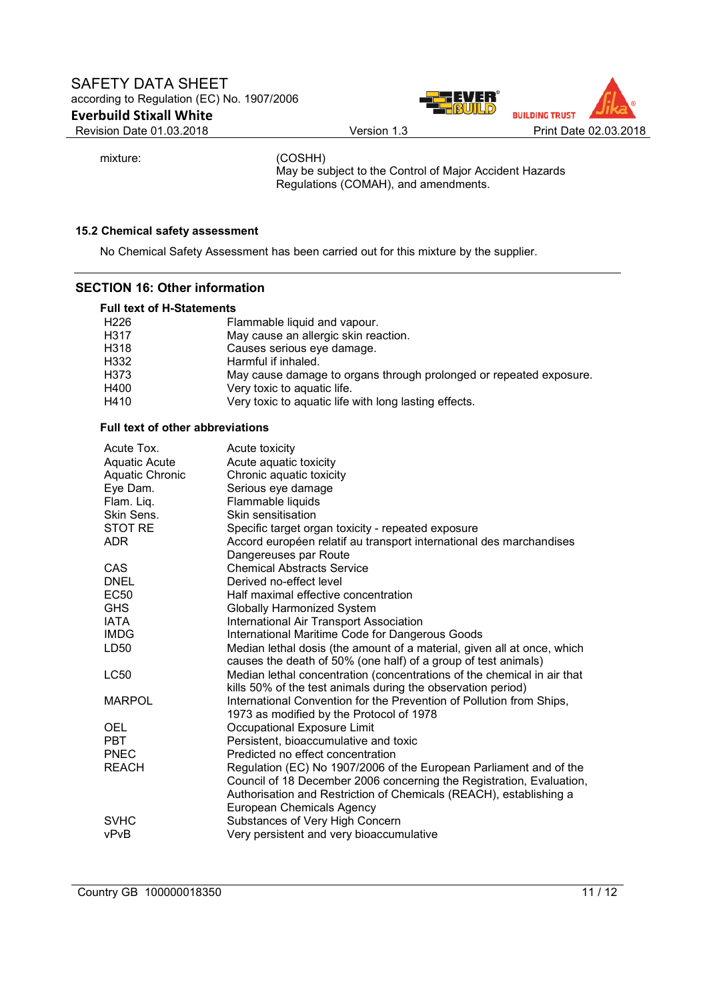



mixture: (COSHH)

May be subject to the Control of Major Accident Hazards Regulations (COMAH), and amendments.

# **15.2 Chemical safety assessment**

No Chemical Safety Assessment has been carried out for this mixture by the supplier.

## **SECTION 16: Other information**

| <b>Full text of H-Statements</b> |                                                                    |  |
|----------------------------------|--------------------------------------------------------------------|--|
| H <sub>226</sub>                 | Flammable liquid and vapour.                                       |  |
| H317                             | May cause an allergic skin reaction.                               |  |
| H318                             | Causes serious eye damage.                                         |  |
| H332                             | Harmful if inhaled.                                                |  |
| H373                             | May cause damage to organs through prolonged or repeated exposure. |  |
| H400                             | Very toxic to aquatic life.                                        |  |
| H410                             | Very toxic to aquatic life with long lasting effects.              |  |

## **Full text of other abbreviations**

| Acute Tox.             | Acute toxicity                                                                                                                             |
|------------------------|--------------------------------------------------------------------------------------------------------------------------------------------|
| <b>Aquatic Acute</b>   | Acute aquatic toxicity                                                                                                                     |
| <b>Aquatic Chronic</b> | Chronic aquatic toxicity                                                                                                                   |
| Eye Dam.               | Serious eye damage                                                                                                                         |
| Flam. Liq.             | Flammable liquids                                                                                                                          |
| Skin Sens.             | Skin sensitisation                                                                                                                         |
| <b>STOT RE</b>         | Specific target organ toxicity - repeated exposure                                                                                         |
| <b>ADR</b>             | Accord européen relatif au transport international des marchandises                                                                        |
|                        | Dangereuses par Route                                                                                                                      |
| <b>CAS</b>             | <b>Chemical Abstracts Service</b>                                                                                                          |
| <b>DNEL</b>            | Derived no-effect level                                                                                                                    |
| <b>EC50</b>            | Half maximal effective concentration                                                                                                       |
| <b>GHS</b>             | <b>Globally Harmonized System</b>                                                                                                          |
| <b>IATA</b>            | International Air Transport Association                                                                                                    |
| <b>IMDG</b>            | International Maritime Code for Dangerous Goods                                                                                            |
| LD50                   | Median lethal dosis (the amount of a material, given all at once, which                                                                    |
|                        | causes the death of 50% (one half) of a group of test animals)                                                                             |
| <b>LC50</b>            | Median lethal concentration (concentrations of the chemical in air that                                                                    |
|                        | kills 50% of the test animals during the observation period)                                                                               |
| <b>MARPOL</b>          | International Convention for the Prevention of Pollution from Ships,                                                                       |
|                        | 1973 as modified by the Protocol of 1978                                                                                                   |
| <b>OEL</b>             | Occupational Exposure Limit                                                                                                                |
| <b>PBT</b>             | Persistent, bioaccumulative and toxic                                                                                                      |
| <b>PNEC</b>            | Predicted no effect concentration                                                                                                          |
| <b>REACH</b>           | Regulation (EC) No 1907/2006 of the European Parliament and of the<br>Council of 18 December 2006 concerning the Registration, Evaluation, |
|                        | Authorisation and Restriction of Chemicals (REACH), establishing a                                                                         |
|                        | European Chemicals Agency                                                                                                                  |
| <b>SVHC</b>            |                                                                                                                                            |
| vPvB                   | Substances of Very High Concern<br>Very persistent and very bioaccumulative                                                                |
|                        |                                                                                                                                            |